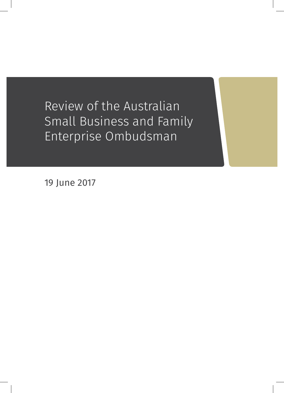Review of the Australian Small Business and Family Enterprise Ombudsman

19 June 2017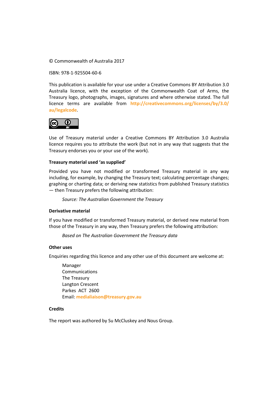© Commonwealth of Australia 2017

ISBN: 978-1-925504-60-6

This publication is available for your use under a Creative Commons BY Attribution 3.0 Australia licence, with the exception of the Commonwealth Coat of Arms, the Treasury logo, photographs, images, signatures and where otherwise stated. The full licence terms are available from **[http://creativecommons.org/licenses/by/3.0/](http://creativecommons.org/licenses/by/3.0/au/legalcode) [au/legalcode](http://creativecommons.org/licenses/by/3.0/au/legalcode)**.



Use of Treasury material under a Creative Commons BY Attribution 3.0 Australia licence requires you to attribute the work (but not in any way that suggests that the Treasury endorses you or your use of the work).

#### **Treasury material used 'as supplied'**

Provided you have not modified or transformed Treasury material in any way including, for example, by changing the Treasury text; calculating percentage changes; graphing or charting data; or deriving new statistics from published Treasury statistics — then Treasury prefers the following attribution:

*Source: The Australian Government the Treasury*

#### **Derivative material**

If you have modified or transformed Treasury material, or derived new material from those of the Treasury in any way, then Treasury prefers the following attribution:

*Based on The Australian Government the Treasury data*

#### **Other uses**

Enquiries regarding this licence and any other use of this document are welcome at:

Manager **Communications** The Treasury Langton Crescent Parkes ACT 2600 Email: **[medialiaison@treasury.gov.au](mailto:medialiaison@treasury.gov.au)**

#### **Credits**

The report was authored by Su McCluskey and Nous Group.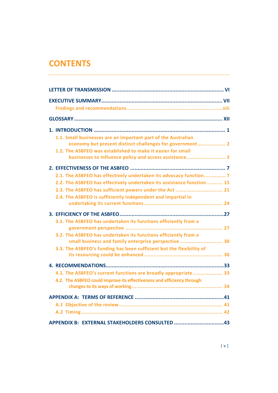# **CONTENTS**

| 1.1. Small businesses are an important part of the Australian<br>economy but present distinct challenges for government 2    |
|------------------------------------------------------------------------------------------------------------------------------|
| 1.2. The ASBFEO was established to make it easier for small<br>businesses to influence policy and access assistance 3        |
|                                                                                                                              |
| 2.1. The ASBFEO has effectively undertaken its advocacy function 7                                                           |
| 2.2. The ASBFEO has effectively undertaken its assistance function  15                                                       |
| 2.3. The ASBFEO has sufficient powers under the Act  21                                                                      |
| 2.4. The ASBFEO is sufficiently independent and impartial in                                                                 |
|                                                                                                                              |
| 3.1. The ASBFEO has undertaken its functions efficiently from a                                                              |
| 3.2. The ASBFEO has undertaken its functions efficiently from a                                                              |
| small business and family enterprise perspective  30<br>3.3. The ASBFEO's funding has been sufficient but the flexibility of |
|                                                                                                                              |
|                                                                                                                              |
| 4.1. The ASBFEO's current functions are broadly appropriate 33                                                               |
| 4.2. The ASBFEO could improve its effectiveness and efficiency through                                                       |
|                                                                                                                              |
|                                                                                                                              |
|                                                                                                                              |
| APPENDIX B: EXTERNAL STAKEHOLDERS CONSULTED 43                                                                               |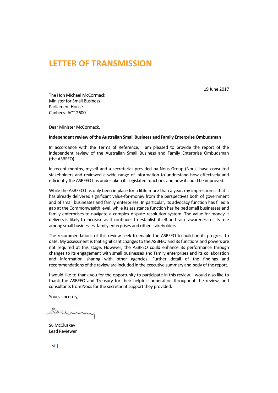19 June 2017

# <span id="page-3-0"></span>**LETTER OF TRANSMISSION**

The Hon Michael McCormack Minister for Small Business Parliament House Canberra ACT 2600

Dear Minister McCormack,

#### **Independent review of the Australian Small Business and Family Enterprise Ombudsman**

In accordance with the Terms of Reference, I am pleased to provide the report of the independent review of the Australian Small Business and Family Enterprise Ombudsman (the ASBFEO).

In recent months, myself and a secretariat provided by Nous Group (Nous) have consulted stakeholders and reviewed a wide range of information to understand how effectively and efficiently the ASBFEO has undertaken its legislated functions and how it could be improved.

While the ASBFEO has only been in place for a little more than a year, my impression is that it has already delivered significant value-for-money from the perspectives both of government and of small businesses and family enterprises. In particular, its advocacy function has filled a gap at the Commonwealth level, while its assistance function has helped small businesses and family enterprises to navigate a complex dispute resolution system. The value-for-money it delivers is likely to increase as it continues to establish itself and raise awareness of its role among small businesses, family enterprises and other stakeholders.

The recommendations of this review seek to enable the ASBFEO to build on its progress to date. My assessment is that significant changes to the ASBFEO and its functions and powers are not required at this stage. However, the ASBFEO could enhance its performance through changes to its engagement with small businesses and family enterprises and its collaboration and information sharing with other agencies. Further detail of the findings and recommendations of the review are included in the executive summary and body of the report.

I would like to thank you for the opportunity to participate in this review. I would also like to thank the ASBFEO and Treasury for their helpful cooperation throughout the review, and consultants from Nous for the secretariat support they provided.

Yours sincerely,

Gumy

Su McCluskey Lead Reviewer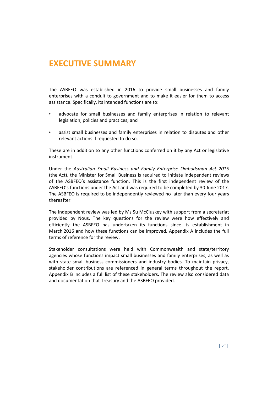<span id="page-4-0"></span>The ASBFEO was established in 2016 to provide small businesses and family enterprises with a conduit to government and to make it easier for them to access assistance. Specifically, its intended functions are to:

- advocate for small businesses and family enterprises in relation to relevant legislation, policies and practices; and
- assist small businesses and family enterprises in relation to disputes and other relevant actions if requested to do so.

These are in addition to any other functions conferred on it by any Act or legislative instrument.

Under the *Australian Small Business and Family Enterprise Ombudsman Act 2015* (the Act), the Minister for Small Business is required to initiate independent reviews of the ASBFEO's assistance function. This is the first independent review of the ASBFEO's functions under the Act and was required to be completed by 30 June 2017. The ASBFEO is required to be independently reviewed no later than every four years thereafter.

The independent review was led by Ms Su McCluskey with support from a secretariat provided by Nous. The key questions for the review were how effectively and efficiently the ASBFEO has undertaken its functions since its establishment in March 2016 and how these functions can be improved. [Appendix A](#page-50-0) includes the full terms of reference for the review.

Stakeholder consultations were held with Commonwealth and state/territory agencies whose functions impact small businesses and family enterprises, as well as with state small business commissioners and industry bodies. To maintain privacy, stakeholder contributions are referenced in general terms throughout the report. [Appendix B](#page-52-0) includes a full list of these stakeholders. The review also considered data and documentation that Treasury and the ASBFEO provided.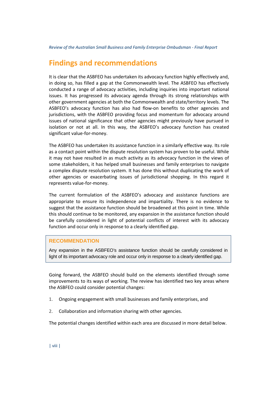# <span id="page-5-0"></span>**Findings and recommendations**

It is clear that the ASBFEO has undertaken its advocacy function highly effectively and, in doing so, has filled a gap at the Commonwealth level. The ASBFEO has effectively conducted a range of advocacy activities, including inquiries into important national issues. It has progressed its advocacy agenda through its strong relationships with other government agencies at both the Commonwealth and state/territory levels. The ASBFEO's advocacy function has also had flow-on benefits to other agencies and jurisdictions, with the ASBFEO providing focus and momentum for advocacy around issues of national significance that other agencies might previously have pursued in isolation or not at all. In this way, the ASBFEO's advocacy function has created significant value-for-money.

The ASBFEO has undertaken its assistance function in a similarly effective way. Its role as a contact point within the dispute resolution system has proven to be useful. While it may not have resulted in as much activity as its advocacy function in the views of some stakeholders, it has helped small businesses and family enterprises to navigate a complex dispute resolution system. It has done this without duplicating the work of other agencies or exacerbating issues of jurisdictional shopping. In this regard it represents value-for-money.

The current formulation of the ASBFEO's advocacy and assistance functions are appropriate to ensure its independence and impartiality. There is no evidence to suggest that the assistance function should be broadened at this point in time. While this should continue to be monitored, any expansion in the assistance function should be carefully considered in light of potential conflicts of interest with its advocacy function and occur only in response to a clearly identified gap.

#### **RECOMMENDATION**

Any expansion in the ASBFEO's assistance function should be carefully considered in light of its important advocacy role and occur only in response to a clearly identified gap.

Going forward, the ASBFEO should build on the elements identified through some improvements to its ways of working. The review has identified two key areas where the ASBFEO could consider potential changes:

- 1. Ongoing engagement with small businesses and family enterprises, and
- 2. Collaboration and information sharing with other agencies.

The potential changes identified within each area are discussed in more detail below.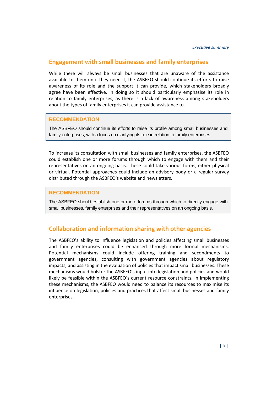## **Engagement with small businesses and family enterprises**

While there will always be small businesses that are unaware of the assistance available to them until they need it, the ASBFEO should continue its efforts to raise awareness of its role and the support it can provide, which stakeholders broadly agree have been effective. In doing so it should particularly emphasise its role in relation to family enterprises, as there is a lack of awareness among stakeholders about the types of family enterprises it can provide assistance to.

#### **RECOMMENDATION**

The ASBFEO should continue its efforts to raise its profile among small businesses and family enterprises, with a focus on clarifying its role in relation to family enterprises.

To increase its consultation with small businesses and family enterprises, the ASBFEO could establish one or more forums through which to engage with them and their representatives on an ongoing basis. These could take various forms, either physical or virtual. Potential approaches could include an advisory body or a regular survey distributed through the ASBFEO's website and newsletters.

#### **RECOMMENDATION**

The ASBFEO should establish one or more forums through which to directly engage with small businesses, family enterprises and their representatives on an ongoing basis.

## **Collaboration and information sharing with other agencies**

The ASBFEO's ability to influence legislation and policies affecting small businesses and family enterprises could be enhanced through more formal mechanisms. Potential mechanisms could include offering training and secondments to government agencies, consulting with government agencies about regulatory impacts, and assisting in the evaluation of policies that impact small businesses. These mechanisms would bolster the ASBFEO's input into legislation and policies and would likely be feasible within the ASBFEO's current resource constraints. In implementing these mechanisms, the ASBFEO would need to balance its resources to maximise its influence on legislation, policies and practices that affect small businesses and family enterprises.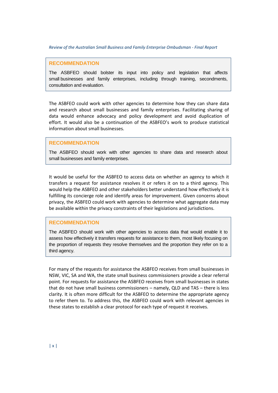#### **RECOMMENDATION**

The ASBFEO should bolster its input into policy and legislation that affects small businesses and family enterprises, including through training, secondments, consultation and evaluation.

The ASBFEO could work with other agencies to determine how they can share data and research about small businesses and family enterprises. Facilitating sharing of data would enhance advocacy and policy development and avoid duplication of effort. It would also be a continuation of the ASBFEO's work to produce statistical information about small businesses.

#### **RECOMMENDATION**

The ASBFEO should work with other agencies to share data and research about small businesses and family enterprises.

It would be useful for the ASBFEO to access data on whether an agency to which it transfers a request for assistance resolves it or refers it on to a third agency. This would help the ASBFEO and other stakeholders better understand how effectively it is fulfilling its concierge role and identify areas for improvement. Given concerns about privacy, the ASBFEO could work with agencies to determine what aggregate data may be available within the privacy constraints of their legislations and jurisdictions.

#### **RECOMMENDATION**

The ASBFEO should work with other agencies to access data that would enable it to assess how effectively it transfers requests for assistance to them, most likely focusing on the proportion of requests they resolve themselves and the proportion they refer on to a third agency.

For many of the requests for assistance the ASBFEO receives from small businesses in NSW, VIC, SA and WA, the state small business commissioners provide a clear referral point. For requests for assistance the ASBFEO receives from small businesses in states that do not have small business commissioners – namely, QLD and TAS – there is less clarity. It is often more difficult for the ASBFEO to determine the appropriate agency to refer them to. To address this, the ASBFEO could work with relevant agencies in these states to establish a clear protocol for each type of request it receives.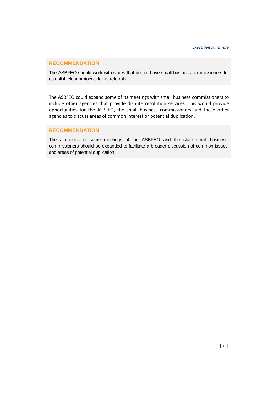### **RECOMMENDATION**

The ASBFEO should work with states that do not have small business commissioners to establish clear protocols for its referrals.

The ASBFEO could expand some of its meetings with small business commissioners to include other agencies that provide dispute resolution services. This would provide opportunities for the ASBFEO, the small business commissioners and these other agencies to discuss areas of common interest or potential duplication.

#### **RECOMMENDATION**

The attendees of some meetings of the ASBFEO and the state small business commissioners should be expanded to facilitate a broader discussion of common issues and areas of potential duplication.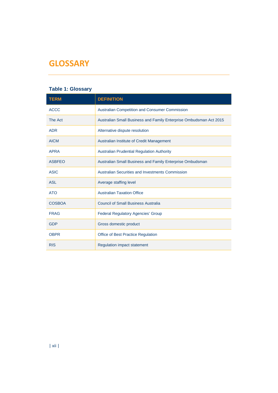# <span id="page-9-0"></span>**GLOSSARY**

## **Table 1: Glossary**

| <b>TERM</b>   | <b>DEFINITION</b>                                                  |
|---------------|--------------------------------------------------------------------|
| <b>ACCC</b>   | <b>Australian Competition and Consumer Commission</b>              |
| The Act       | Australian Small Business and Family Enterprise Ombudsman Act 2015 |
| <b>ADR</b>    | Alternative dispute resolution                                     |
| <b>AICM</b>   | Australian Institute of Credit Management                          |
| <b>APRA</b>   | <b>Australian Prudential Regulation Authority</b>                  |
| <b>ASBFEO</b> | Australian Small Business and Family Enterprise Ombudsman          |
| <b>ASIC</b>   | Australian Securities and Investments Commission                   |
| <b>ASL</b>    | Average staffing level                                             |
| <b>ATO</b>    | <b>Australian Taxation Office</b>                                  |
| <b>COSBOA</b> | <b>Council of Small Business Australia</b>                         |
| <b>FRAG</b>   | <b>Federal Regulatory Agencies' Group</b>                          |
| <b>GDP</b>    | Gross domestic product                                             |
| <b>OBPR</b>   | <b>Office of Best Practice Regulation</b>                          |
| <b>RIS</b>    | <b>Regulation impact statement</b>                                 |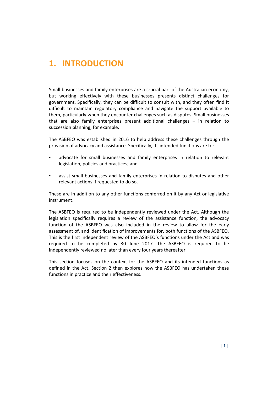# <span id="page-10-0"></span>**1. INTRODUCTION**

Small businesses and family enterprises are a crucial part of the Australian economy, but working effectively with these businesses presents distinct challenges for government. Specifically, they can be difficult to consult with, and they often find it difficult to maintain regulatory compliance and navigate the support available to them, particularly when they encounter challenges such as disputes. Small businesses that are also family enterprises present additional challenges – in relation to succession planning, for example.

The ASBFEO was established in 2016 to help address these challenges through the provision of advocacy and assistance. Specifically, its intended functions are to:

- advocate for small businesses and family enterprises in relation to relevant legislation, policies and practices; and
- assist small businesses and family enterprises in relation to disputes and other relevant actions if requested to do so.

These are in addition to any other functions conferred on it by any Act or legislative instrument.

The ASBFEO is required to be independently reviewed under the Act. Although the legislation specifically requires a review of the assistance function, the advocacy function of the ASBFEO was also included in the review to allow for the early assessment of, and identification of improvements for, both functions of the ASBFEO. This is the first independent review of the ASBFEO's functions under the Act and was required to be completed by 30 June 2017. The ASBFEO is required to be independently reviewed no later than every four years thereafter.

<span id="page-10-1"></span>This section focuses on the context for the ASBFEO and its intended functions as defined in the Act. Section [2](#page-16-0) then explores how the ASBFEO has undertaken these functions in practice and their effectiveness.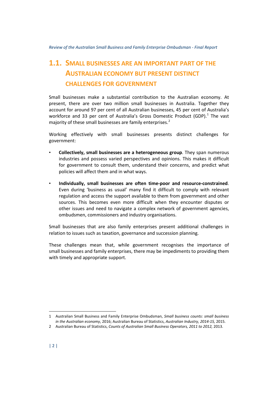# <span id="page-11-0"></span>**1.1. SMALL BUSINESSES ARE AN IMPORTANT PART OF THE AUSTRALIAN ECONOMY BUT PRESENT DISTINCT CHALLENGES FOR GOVERNMENT**

Small businesses make a substantial contribution to the Australian economy. At present, there are over two million small businesses in Australia. Together they account for around 97 per cent of all Australian businesses, 45 per cent of Australia's workforce and 33 per cent of Australia's Gross Domestic Product (GDP). $1$  The vast majority of these small businesses are family enterprises.<sup>[2](#page-11-2)</sup>

Working effectively with small businesses presents distinct challenges for government:

- **Collectively, small businesses are a heterogeneous group**. They span numerous industries and possess varied perspectives and opinions. This makes it difficult for government to consult them, understand their concerns, and predict what policies will affect them and in what ways.
- **Individually, small businesses are often time-poor and resource-constrained**. Even during 'business as usual' many find it difficult to comply with relevant regulation and access the support available to them from government and other sources. This becomes even more difficult when they encounter disputes or other issues and need to navigate a complex network of government agencies, ombudsmen, commissioners and industry organisations.

Small businesses that are also family enterprises present additional challenges in relation to issues such as taxation, governance and succession planning.

These challenges mean that, while government recognises the importance of small businesses and family enterprises, there may be impediments to providing them with timely and appropriate support.

 $\ddot{\phantom{a}}$ 

<span id="page-11-1"></span><sup>1</sup> Australian Small Business and Family Enterprise Ombudsman, *Small business counts: small business in the Australian economy*, 2016; Australian Bureau of Statistics, *Australian Industry, 2014-15,* 2015.

<span id="page-11-2"></span><sup>2</sup> Australian Bureau of Statistics, *Counts of Australian Small Business Operators, 2011 to 2012,* 2013.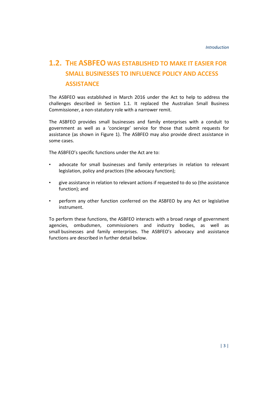# <span id="page-12-0"></span>**1.2. THE ASBFEO WAS ESTABLISHED TO MAKE IT EASIER FOR SMALL BUSINESSES TO INFLUENCE POLICY AND ACCESS ASSISTANCE**

The ASBFEO was established in March 2016 under the Act to help to address the challenges described in Section [1.1.](#page-10-1) It replaced the Australian Small Business Commissioner, a non-statutory role with a narrower remit.

The ASBFEO provides small businesses and family enterprises with a conduit to government as well as a 'concierge' service for those that submit requests for assistance (as shown in [Figure 1\)](#page-13-0). The ASBFEO may also provide direct assistance in some cases.

The ASBFEO's specific functions under the Act are to:

- advocate for small businesses and family enterprises in relation to relevant legislation, policy and practices (the advocacy function);
- give assistance in relation to relevant actions if requested to do so (the assistance function); and
- perform any other function conferred on the ASBFEO by any Act or legislative instrument.

To perform these functions, the ASBFEO interacts with a broad range of government agencies, ombudsmen, commissioners and industry bodies, as well as small businesses and family enterprises. The ASBFEO's advocacy and assistance functions are described in further detail below.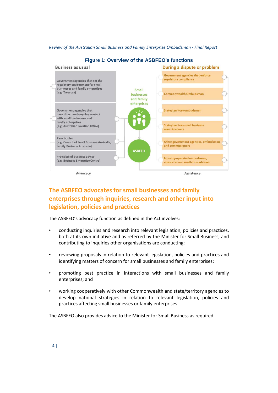<span id="page-13-0"></span>

**Figure 1: Overview of the ASBFEO's functions**

# **The ASBFEO advocates for small businesses and family enterprises through inquiries, research and other input into legislation, policies and practices**

The ASBFEO's advocacy function as defined in the Act involves:

- conducting inquiries and research into relevant legislation, policies and practices, both at its own initiative and as referred by the Minister for Small Business, and contributing to inquiries other organisations are conducting;
- reviewing proposals in relation to relevant legislation, policies and practices and identifying matters of concern for small businesses and family enterprises;
- promoting best practice in interactions with small businesses and family enterprises; and
- working cooperatively with other Commonwealth and state/territory agencies to develop national strategies in relation to relevant legislation, policies and practices affecting small businesses or family enterprises.

The ASBFEO also provides advice to the Minister for Small Business as required.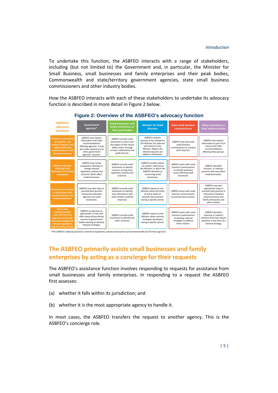To undertake this function, the ASBFEO interacts with a range of stakeholders, including (but not limited to) the Government and, in particular, the Minister for Small Business, small businesses and family enterprises and their peak bodies, Commonwealth and state/territory government agencies, state small business commissioners and other industry bodies.

How the ASBFEO interacts with each of these stakeholders to undertake its advocacy function is described in more detail in [Figure 2](#page-14-0) below.

<span id="page-14-0"></span>

#### **Figure 2: Overview of the ASBFEO's advocacy function**

*\*The ASBFEO's advocacy function is limited to legislation, policies and practices of Commonwealth and Territory agencies.*

# **The ASBFEO primarily assists small businesses and family enterprises by acting as a concierge for their requests**

The ASBFEO's assistance function involves responding to requests for assistance from small businesses and family enterprises. In responding to a request the ASBFEO first assesses:

- (a) whether it falls within its jurisdiction; and
- (b) whether it is the most appropriate agency to handle it.

In most cases, the ASBFEO transfers the request to another agency. This is the ASBFEO's concierge role.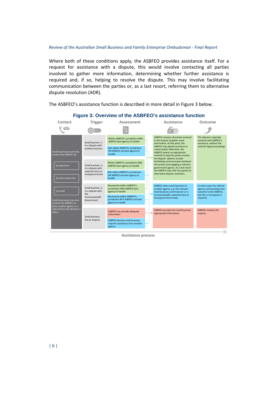Where both of these conditions apply, the ASBFEO provides assistance itself. For a request for assistance with a dispute, this would involve contacting all parties involved to gather more information, determining whether further assistance is required and, if so, helping to resolve the dispute. This may involve facilitating communication between the parties or, as a last resort, referring them to alternative dispute resolution (ADR).

The ASBFEO's assistance function is described in more detail i[n Figure 3](#page-15-0) below.

<span id="page-15-0"></span>

#### **Figure 3: Overview of the ASBFEO's assistance function**

**Assistance process**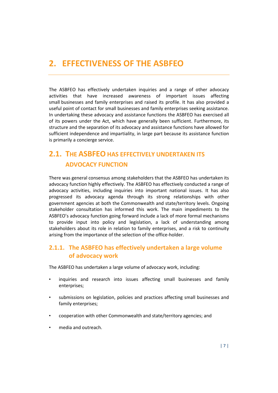# <span id="page-16-0"></span>**2. EFFECTIVENESS OF THE ASBFEO**

The ASBFEO has effectively undertaken inquiries and a range of other advocacy activities that have increased awareness of important issues affecting small businesses and family enterprises and raised its profile. It has also provided a useful point of contact for small businesses and family enterprises seeking assistance. In undertaking these advocacy and assistance functions the ASBFEO has exercised all of its powers under the Act, which have generally been sufficient. Furthermore, its structure and the separation of its advocacy and assistance functions have allowed for sufficient independence and impartiality, in large part because its assistance function is primarily a concierge service.

# <span id="page-16-1"></span>**2.1. THE ASBFEO HAS EFFECTIVELY UNDERTAKEN ITS ADVOCACY FUNCTION**

There was general consensus among stakeholders that the ASBFEO has undertaken its advocacy function highly effectively. The ASBFEO has effectively conducted a range of advocacy activities, including inquiries into important national issues. It has also progressed its advocacy agenda through its strong relationships with other government agencies at both the Commonwealth and state/territory levels. Ongoing stakeholder consultation has informed this work. The main impediments to the ASBFEO's advocacy function going forward include a lack of more formal mechanisms to provide input into policy and legislation, a lack of understanding among stakeholders about its role in relation to family enterprises, and a risk to continuity arising from the importance of the selection of the office-holder.

## **2.1.1. The ASBFEO has effectively undertaken a large volume of advocacy work**

The ASBFEO has undertaken a large volume of advocacy work, including:

- inquiries and research into issues affecting small businesses and family enterprises;
- submissions on legislation, policies and practices affecting small businesses and family enterprises;
- cooperation with other Commonwealth and state/territory agencies; and
- media and outreach.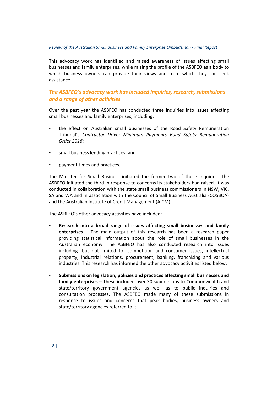This advocacy work has identified and raised awareness of issues affecting small businesses and family enterprises, while raising the profile of the ASBFEO as a body to which business owners can provide their views and from which they can seek assistance.

## *The ASBFEO's advocacy work has included inquiries, research, submissions and a range of other activities*

Over the past year the ASBFEO has conducted three inquiries into issues affecting small businesses and family enterprises, including:

- the effect on Australian small businesses of the Road Safety Remuneration Tribunal's *Contractor Driver Minimum Payments Road Safety Remuneration Order 2016*;
- small business lending practices; and
- payment times and practices.

The Minister for Small Business initiated the former two of these inquiries. The ASBFEO initiated the third in response to concerns its stakeholders had raised. It was conducted in collaboration with the state small business commissioners in NSW, VIC, SA and WA and in association with the Council of Small Business Australia (COSBOA) and the Australian Institute of Credit Management (AICM).

The ASBFEO's other advocacy activities have included:

- **Research into a broad range of issues affecting small businesses and family enterprises** – The main output of this research has been a research paper providing statistical information about the role of small businesses in the Australian economy. The ASBFEO has also conducted research into issues including (but not limited to) competition and consumer issues, intellectual property, industrial relations, procurement, banking, franchising and various industries. This research has informed the other advocacy activities listed below.
- **Submissions on legislation, policies and practices affecting small businesses and family enterprises** – These included over 30 submissions to Commonwealth and state/territory government agencies as well as to public inquiries and consultation processes. The ASBFEO made many of these submissions in response to issues and concerns that peak bodies, business owners and state/territory agencies referred to it.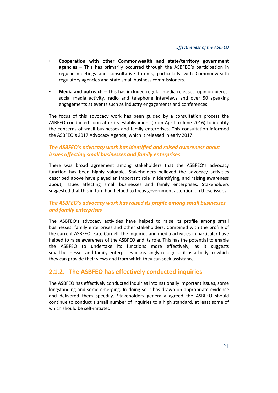- **Cooperation with other Commonwealth and state/territory government agencies** – This has primarily occurred through the ASBFEO's participation in regular meetings and consultative forums, particularly with Commonwealth regulatory agencies and state small business commissioners.
- **Media and outreach** This has included regular media releases, opinion pieces, social media activity, radio and telephone interviews and over 50 speaking engagements at events such as industry engagements and conferences.

The focus of this advocacy work has been guided by a consultation process the ASBFEO conducted soon after its establishment (from April to June 2016) to identify the concerns of small businesses and family enterprises. This consultation informed the ASBFEO's 2017 Advocacy Agenda, which it released in early 2017.

## *The ASBFEO's advocacy work has identified and raised awareness about issues affecting small businesses and family enterprises*

There was broad agreement among stakeholders that the ASBFEO's advocacy function has been highly valuable. Stakeholders believed the advocacy activities described above have played an important role in identifying, and raising awareness about, issues affecting small businesses and family enterprises. Stakeholders suggested that this in turn had helped to focus government attention on these issues.

## *The ASBFEO's advocacy work has raised its profile among small businesses and family enterprises*

The ASBFEO's advocacy activities have helped to raise its profile among small businesses, family enterprises and other stakeholders. Combined with the profile of the current ASBFEO, Kate Carnell, the inquiries and media activities in particular have helped to raise awareness of the ASBFEO and its role. This has the potential to enable the ASBFEO to undertake its functions more effectively, as it suggests small businesses and family enterprises increasingly recognise it as a body to which they can provide their views and from which they can seek assistance.

## **2.1.2. The ASBFEO has effectively conducted inquiries**

The ASBFEO has effectively conducted inquiries into nationally important issues, some longstanding and some emerging. In doing so it has drawn on appropriate evidence and delivered them speedily. Stakeholders generally agreed the ASBFEO should continue to conduct a small number of inquiries to a high standard, at least some of which should be self-initiated.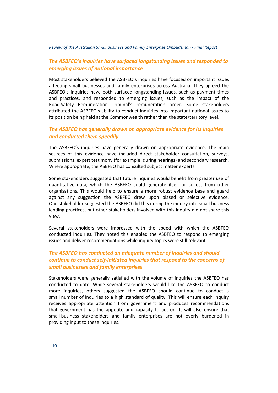## *The ASBFEO's inquiries have surfaced longstanding issues and responded to emerging issues of national importance*

Most stakeholders believed the ASBFEO's inquiries have focused on important issues affecting small businesses and family enterprises across Australia. They agreed the ASBFEO's inquiries have both surfaced longstanding issues, such as payment times and practices, and responded to emerging issues, such as the impact of the Road Safety Remuneration Tribunal's remuneration order. Some stakeholders attributed the ASBFEO's ability to conduct inquiries into important national issues to its position being held at the Commonwealth rather than the state/territory level.

## *The ASBFEO has generally drawn on appropriate evidence for its inquiries and conducted them speedily*

The ASBFEO's inquiries have generally drawn on appropriate evidence. The main sources of this evidence have included direct stakeholder consultation, surveys, submissions, expert testimony (for example, during hearings) and secondary research. Where appropriate, the ASBFEO has consulted subject matter experts.

Some stakeholders suggested that future inquiries would benefit from greater use of quantitative data, which the ASBFEO could generate itself or collect from other organisations. This would help to ensure a more robust evidence base and guard against any suggestion the ASBFEO drew upon biased or selective evidence. One stakeholder suggested the ASBFEO did this during the inquiry into small business lending practices, but other stakeholders involved with this inquiry did not share this view.

Several stakeholders were impressed with the speed with which the ASBFEO conducted inquiries. They noted this enabled the ASBFEO to respond to emerging issues and deliver recommendations while inquiry topics were still relevant.

## *The ASBFEO has conducted an adequate number of inquiries and should continue to conduct self-initiated inquiries that respond to the concerns of small businesses and family enterprises*

Stakeholders were generally satisfied with the volume of inquiries the ASBFEO has conducted to date. While several stakeholders would like the ASBFEO to conduct more inquiries, others suggested the ASBFEO should continue to conduct a small number of inquiries to a high standard of quality. This will ensure each inquiry receives appropriate attention from government and produces recommendations that government has the appetite and capacity to act on. It will also ensure that small business stakeholders and family enterprises are not overly burdened in providing input to these inquiries.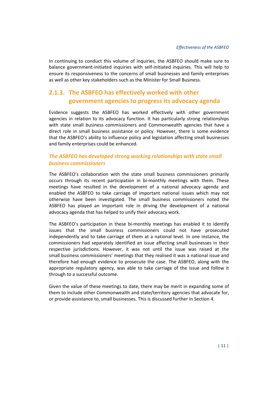In continuing to conduct this volume of inquiries, the ASBFEO should make sure to balance government-initiated inquiries with self-initiated inquiries. This will help to ensure its responsiveness to the concerns of small businesses and family enterprises as well as other key stakeholders such as the Minister for Small Business.

# <span id="page-20-0"></span>**2.1.3. The ASBFEO has effectively worked with other government agencies to progress its advocacy agenda**

Evidence suggests the ASBFEO has worked effectively with other government agencies in relation to its advocacy function. It has particularly strong relationships with state small business commissioners and Commonwealth agencies that have a direct role in small business assistance or policy. However, there is some evidence that the ASBFEO's ability to influence policy and legislation affecting small businesses and family enterprises could be enhanced.

### *The ASBFEO has developed strong working relationships with state small business commissioners*

The ASBFEO's collaboration with the state small business commissioners primarily occurs through its recent participation in bi-monthly meetings with them. These meetings have resulted in the development of a national advocacy agenda and enabled the ASBFEO to take carriage of important national issues which may not otherwise have been investigated. The small business commissioners noted the ASBFEO has played an important role in driving the development of a national advocacy agenda that has helped to unify their advocacy work.

The ASBFEO's participation in these bi-monthly meetings has enabled it to identify issues that the small business commissioners could not have prosecuted independently and to take carriage of them at a national level. In one instance, the commissioners had separately identified an issue affecting small businesses in their respective jurisdictions. However, it was not until the issue was raised at the small business commissioners' meetings that they realised it was a national issue and therefore had enough evidence to prosecute the case. The ASBFEO, along with the appropriate regulatory agency, was able to take carriage of the issue and follow it through to a successful outcome.

Given the value of these meetings to date, there may be merit in expanding some of them to include other Commonwealth and state/territory agencies that advocate for, or provide assistance to, small businesses. This is discussed further in Section [4.](#page-42-0)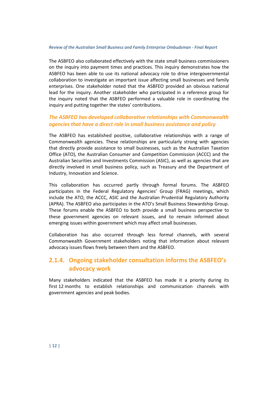The ASBFEO also collaborated effectively with the state small business commissioners on the inquiry into payment times and practices. This inquiry demonstrates how the ASBFEO has been able to use its national advocacy role to drive intergovernmental collaboration to investigate an important issue affecting small businesses and family enterprises. One stakeholder noted that the ASBFEO provided an obvious national lead for the inquiry. Another stakeholder who participated in a reference group for the inquiry noted that the ASBFEO performed a valuable role in coordinating the inquiry and putting together the states' contributions.

### *The ASBFEO has developed collaborative relationships with Commonwealth agencies that have a direct role in small business assistance and policy*

The ASBFEO has established positive, collaborative relationships with a range of Commonwealth agencies. These relationships are particularly strong with agencies that directly provide assistance to small businesses, such as the Australian Taxation Office (ATO), the Australian Consumer and Competition Commission (ACCC) and the Australian Securities and Investments Commission (ASIC), as well as agencies that are directly involved in small business policy, such as Treasury and the Department of Industry, Innovation and Science.

This collaboration has occurred partly through formal forums. The ASBFEO participates in the Federal Regulatory Agencies' Group (FRAG) meetings, which include the ATO, the ACCC, ASIC and the Australian Prudential Regulatory Authority (APRA). The ASBFEO also participates in the ATO's Small Business Stewardship Group. These forums enable the ASBFEO to both provide a small business perspective to these government agencies on relevant issues, and to remain informed about emerging issues within government which may affect small businesses.

Collaboration has also occurred through less formal channels, with several Commonwealth Government stakeholders noting that information about relevant advocacy issues flows freely between them and the ASBFEO.

## **2.1.4. Ongoing stakeholder consultation informs the ASBFEO's advocacy work**

Many stakeholders indicated that the ASBFEO has made it a priority during its first 12 months to establish relationships and communication channels with government agencies and peak bodies.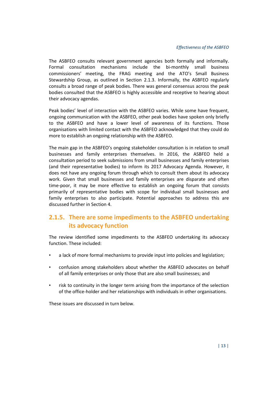The ASBFEO consults relevant government agencies both formally and informally. Formal consultation mechanisms include the bi-monthly small business commissioners' meeting, the FRAG meeting and the ATO's Small Business Stewardship Group, as outlined in Section [2.1.3.](#page-20-0) Informally, the ASBFEO regularly consults a broad range of peak bodies. There was general consensus across the peak bodies consulted that the ASBFEO is highly accessible and receptive to hearing about their advocacy agendas.

Peak bodies' level of interaction with the ASBFEO varies. While some have frequent, ongoing communication with the ASBFEO, other peak bodies have spoken only briefly to the ASBFEO and have a lower level of awareness of its functions. Those organisations with limited contact with the ASBFEO acknowledged that they could do more to establish an ongoing relationship with the ASBFEO.

The main gap in the ASBFEO's ongoing stakeholder consultation is in relation to small businesses and family enterprises themselves. In 2016, the ASBFEO held a consultation period to seek submissions from small businesses and family enterprises (and their representative bodies) to inform its 2017 Advocacy Agenda. However, it does not have any ongoing forum through which to consult them about its advocacy work. Given that small businesses and family enterprises are disparate and often time-poor, it may be more effective to establish an ongoing forum that consists primarily of representative bodies with scope for individual small businesses and family enterprises to also participate. Potential approaches to address this are discussed further in Sectio[n 4.](#page-42-0)

# **2.1.5. There are some impediments to the ASBFEO undertaking its advocacy function**

The review identified some impediments to the ASBFEO undertaking its advocacy function. These included:

- a lack of more formal mechanisms to provide input into policies and legislation;
- confusion among stakeholders about whether the ASBFEO advocates on behalf of all family enterprises or only those that are also small businesses; and
- risk to continuity in the longer term arising from the importance of the selection of the office-holder and her relationships with individuals in other organisations.

These issues are discussed in turn below.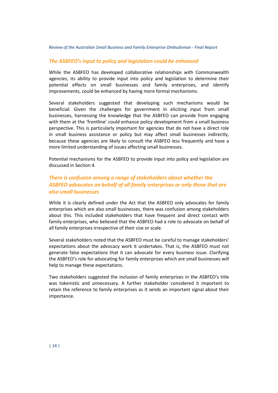### *The ASBFEO's input to policy and legislation could be enhanced*

While the ASBFEO has developed collaborative relationships with Commonwealth agencies, its ability to provide input into policy and legislation to determine their potential effects on small businesses and family enterprises, and identify improvements, could be enhanced by having more formal mechanisms.

Several stakeholders suggested that developing such mechanisms would be beneficial. Given the challenges for government in eliciting input from small businesses, harnessing the knowledge that the ASBFEO can provide from engaging with them at the 'frontline' could enhance policy development from a small business perspective. This is particularly important for agencies that do not have a direct role in small business assistance or policy but may affect small businesses indirectly, because these agencies are likely to consult the ASBFEO less frequently and have a more limited understanding of issues affecting small businesses.

Potential mechanisms for the ASBFEO to provide input into policy and legislation are discussed in Sectio[n 4.](#page-42-0)

## *There is confusion among a range of stakeholders about whether the ASBFEO advocates on behalf of all family enterprises or only those that are also small businesses*

While it is clearly defined under the Act that the ASBFEO only advocates for family enterprises which are also small businesses, there was confusion among stakeholders about this. This included stakeholders that have frequent and direct contact with family enterprises, who believed that the ASBFEO had a role to advocate on behalf of all family enterprises irrespective of their size or scale.

Several stakeholders noted that the ASBFEO must be careful to manage stakeholders' expectations about the advocacy work it undertakes. That is, the ASBFEO must not generate false expectations that it can advocate for every business issue. Clarifying the ASBFEO's role for advocating for family enterprises which are small businesses will help to manage these expectations.

Two stakeholders suggested the inclusion of family enterprises in the ASBFEO's title was tokenistic and unnecessary. A further stakeholder considered it important to retain the reference to family enterprises as it sends an important signal about their importance.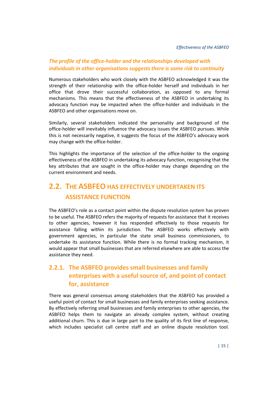### *The profile of the office-holder and the relationships developed with individuals in other organisations suggests there is some risk to continuity*

Numerous stakeholders who work closely with the ASBFEO acknowledged it was the strength of their relationship with the office-holder herself and individuals in her office that drove their successful collaboration, as opposed to any formal mechanisms. This means that the effectiveness of the ASBFEO in undertaking its advocacy function may be impacted when the office-holder and individuals in the ASBFEO and other organisations move on.

Similarly, several stakeholders indicated the personality and background of the office-holder will inevitably influence the advocacy issues the ASBFEO pursues. While this is not necessarily negative, it suggests the focus of the ASBFEO's advocacy work may change with the office-holder.

This highlights the importance of the selection of the office-holder to the ongoing effectiveness of the ASBFEO in undertaking its advocacy function, recognising that the key attributes that are sought in the office-holder may change depending on the current environment and needs.

# <span id="page-24-0"></span>**2.2. THE ASBFEO HAS EFFECTIVELY UNDERTAKEN ITS ASSISTANCE FUNCTION**

The ASBFEO's role as a contact point within the dispute resolution system has proven to be useful. The ASBFEO refers the majority of requests for assistance that it receives to other agencies, however it has responded effectively to those requests for assistance falling within its jurisdiction. The ASBFEO works effectively with government agencies, in particular the state small business commissioners, to undertake its assistance function. While there is no formal tracking mechanism, it would appear that small businesses that are referred elsewhere are able to access the assistance they need.

# **2.2.1. The ASBFEO provides small businesses and family enterprises with a useful source of, and point of contact for, assistance**

There was general consensus among stakeholders that the ASBFEO has provided a useful point of contact for small businesses and family enterprises seeking assistance. By effectively referring small businesses and family enterprises to other agencies, the ASBFEO helps them to navigate an already complex system, without creating additional churn. This is due in large part to the quality of its first line of response, which includes specialist call centre staff and an online dispute resolution tool.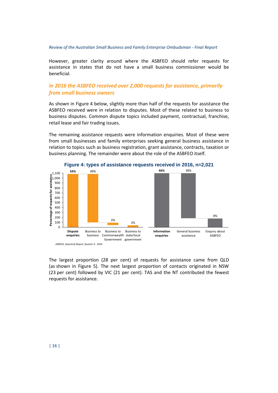However, greater clarity around where the ASBFEO should refer requests for assistance in states that do not have a small business commissioner would be beneficial.

### *In 2016 the ASBFEO received over 2,000 requests for assistance, primarily from small business owners*

As shown in [Figure 4](#page-25-0) below, slightly more than half of the requests for assistance the ASBFEO received were in relation to disputes. Most of these related to business to business disputes. Common dispute topics included payment, contractual, franchise, retail lease and fair trading issues.

The remaining assistance requests were information enquiries. Most of these were from small businesses and family enterprises seeking general business assistance in relation to topics such as business registration, grant assistance, contracts, taxation or business planning. The remainder were about the role of the ASBFEO itself.

<span id="page-25-0"></span>

*ASBFEO, Quarterly Report, Quarter 4 - 2016*

The largest proportion (28 per cent) of requests for assistance came from QLD (as shown in [Figure 5\)](#page-26-0). The next largest proportion of contacts originated in NSW (23 per cent) followed by VIC (21 per cent). TAS and the NT contributed the fewest requests for assistance.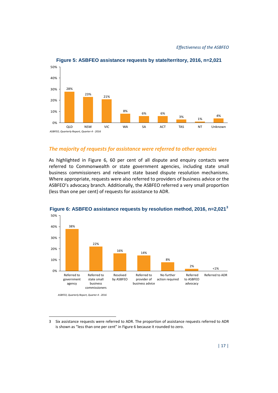<span id="page-26-0"></span>

### **Figure 5: ASBFEO assistance requests by state/territory, 2016, n=2,021**

#### *The majority of requests for assistance were referred to other agencies*

As highlighted in [Figure 6,](#page-26-1) 60 per cent of all dispute and enquiry contacts were referred to Commonwealth or state government agencies, including state small business commissioners and relevant state based dispute resolution mechanisms. Where appropriate, requests were also referred to providers of business advice or the ASBFEO's advocacy branch. Additionally, the ASBFEO referred a very small proportion (less than one per cent) of requests for assistance to ADR.



# <span id="page-26-1"></span>**Figure 6: ASBFEO assistance requests by resolution method, 2016, n=2,021[3](#page-26-2)**

 $\overline{a}$ 

*ASBFEO, Quarterly Report, Quarter 4 - 2016*

<span id="page-26-2"></span><sup>3</sup> Six assistance requests were referred to ADR. The proportion of assistance requests referred to ADR is shown as "less than one per cent" in [Figure 6](#page-26-1) because it rounded to zero.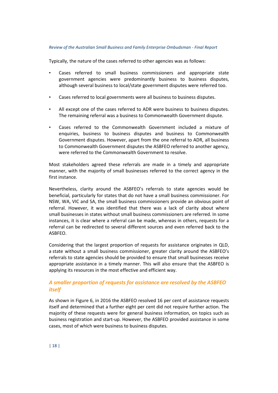Typically, the nature of the cases referred to other agencies was as follows:

- Cases referred to small business commissioners and appropriate state government agencies were predominantly business to business disputes, although several business to local/state government disputes were referred too.
- Cases referred to local governments were all business to business disputes.
- All except one of the cases referred to ADR were business to business disputes. The remaining referral was a business to Commonwealth Government dispute.
- Cases referred to the Commonwealth Government included a mixture of enquiries, business to business disputes and business to Commonwealth Government disputes. However, apart from the one referral to ADR, all business to Commonwealth Government disputes the ASBFEO referred to another agency, were referred to the Commonwealth Government to resolve.

Most stakeholders agreed these referrals are made in a timely and appropriate manner, with the majority of small businesses referred to the correct agency in the first instance.

Nevertheless, clarity around the ASBFEO's referrals to state agencies would be beneficial, particularly for states that do not have a small business commissioner. For NSW, WA, VIC and SA, the small business commissioners provide an obvious point of referral. However, it was identified that there was a lack of clarity about where small businesses in states without small business commissioners are referred. In some instances, it is clear where a referral can be made, whereas in others, requests for a referral can be redirected to several different sources and even referred back to the ASBFEO.

Considering that the largest proportion of requests for assistance originates in QLD, a state without a small business commissioner, greater clarity around the ASBFEO's referrals to state agencies should be provided to ensure that small businesses receive appropriate assistance in a timely manner. This will also ensure that the ASBFEO is applying its resources in the most effective and efficient way.

### *A smaller proportion of requests for assistance are resolved by the ASBFEO itself*

As shown in [Figure 6,](#page-26-1) in 2016 the ASBFEO resolved 16 per cent of assistance requests itself and determined that a further eight per cent did not require further action. The majority of these requests were for general business information, on topics such as business registration and start-up. However, the ASBFEO provided assistance in some cases, most of which were business to business disputes.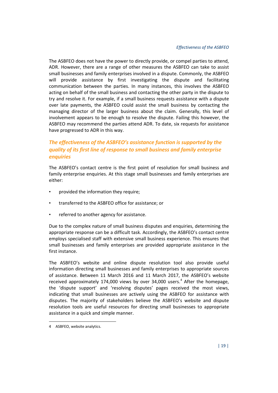The ASBFEO does not have the power to directly provide, or compel parties to attend, ADR. However, there are a range of other measures the ASBFEO can take to assist small businesses and family enterprises involved in a dispute. Commonly, the ASBFEO will provide assistance by first investigating the dispute and facilitating communication between the parties. In many instances, this involves the ASBFEO acting on behalf of the small business and contacting the other party in the dispute to try and resolve it. For example, if a small business requests assistance with a dispute over late payments, the ASBFEO could assist the small business by contacting the managing director of the larger business about the claim. Generally, this level of involvement appears to be enough to resolve the dispute. Failing this however, the ASBFEO may recommend the parties attend ADR. To date, six requests for assistance have progressed to ADR in this way.

## *The effectiveness of the ASBFEO's assistance function is supported by the quality of its first line of response to small business and family enterprise enquiries*

The ASBFEO's contact centre is the first point of resolution for small business and family enterprise enquiries. At this stage small businesses and family enterprises are either:

- provided the information they require;
- transferred to the ASBFEO office for assistance; or
- referred to another agency for assistance.

Due to the complex nature of small business disputes and enquiries, determining the appropriate response can be a difficult task. Accordingly, the ASBFEO's contact centre employs specialised staff with extensive small business experience. This ensures that small businesses and family enterprises are provided appropriate assistance in the first instance.

The ASBFEO's website and online dispute resolution tool also provide useful information directing small businesses and family enterprises to appropriate sources of assistance. Between 11 March 2016 and 11 March 2017, the ASBFEO's website received approximately 17[4](#page-28-0),000 views by over 34,000 users.<sup>4</sup> After the homepage, the 'dispute support' and 'resolving disputes' pages received the most views, indicating that small businesses are actively using the ASBFEO for assistance with disputes. The majority of stakeholders believe the ASBFEO's website and dispute resolution tools are useful resources for directing small businesses to appropriate assistance in a quick and simple manner.

 $\overline{a}$ 

<span id="page-28-0"></span><sup>4</sup> ASBFEO, website analytics.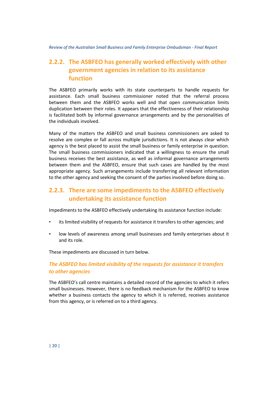# **2.2.2. The ASBFEO has generally worked effectively with other government agencies in relation to its assistance function**

The ASBFEO primarily works with its state counterparts to handle requests for assistance. Each small business commissioner noted that the referral process between them and the ASBFEO works well and that open communication limits duplication between their roles. It appears that the effectiveness of their relationship is facilitated both by informal governance arrangements and by the personalities of the individuals involved.

Many of the matters the ASBFEO and small business commissioners are asked to resolve are complex or fall across multiple jurisdictions. It is not always clear which agency is the best placed to assist the small business or family enterprise in question. The small business commissioners indicated that a willingness to ensure the small business receives the best assistance, as well as informal governance arrangements between them and the ASBFEO, ensure that such cases are handled by the most appropriate agency. Such arrangements include transferring all relevant information to the other agency and seeking the consent of the parties involved before doing so.

# **2.2.3. There are some impediments to the ASBFEO effectively undertaking its assistance function**

Impediments to the ASBFEO effectively undertaking its assistance function include:

- its limited visibility of requests for assistance it transfers to other agencies; and
- low levels of awareness among small businesses and family enterprises about it and its role.

These impediments are discussed in turn below.

## *The ASBFEO has limited visibility of the requests for assistance it transfers to other agencies*

The ASBFEO's call centre maintains a detailed record of the agencies to which it refers small businesses. However, there is no feedback mechanism for the ASBFEO to know whether a business contacts the agency to which it is referred, receives assistance from this agency, or is referred on to a third agency.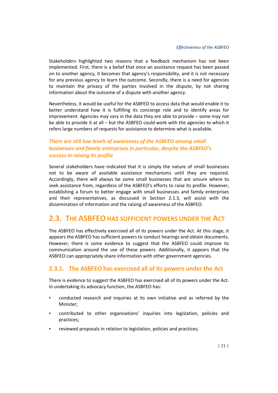Stakeholders highlighted two reasons that a feedback mechanism has not been implemented. First, there is a belief that once an assistance request has been passed on to another agency, it becomes that agency's responsibility, and it is not necessary for any previous agency to learn the outcome. Secondly, there is a need for agencies to maintain the privacy of the parties involved in the dispute, by not sharing information about the outcome of a dispute with another agency.

Nevertheless, it would be useful for the ASBFEO to access data that would enable it to better understand how it is fulfilling its concierge role and to identify areas for improvement. Agencies may vary in the data they are able to provide – some may not be able to provide it at all – but the ASBFEO could work with the agencies to which it refers large numbers of requests for assistance to determine what is available.

## *There are still low levels of awareness of the ASBFEO among small businesses and family enterprises in particular, despite the ASBFEO's success in raising its profile*

Several stakeholders have indicated that it is simply the nature of small businesses not to be aware of available assistance mechanisms until they are required. Accordingly, there will always be some small businesses that are unsure where to seek assistance from, regardless of the ASBFEO's efforts to raise its profile. However, establishing a forum to better engage with small businesses and family enterprises and their representatives, as discussed in Section [2.1.3,](#page-20-0) will assist with the dissemination of information and the raising of awareness of the ASBFEO.

# <span id="page-30-0"></span>**2.3. THE ASBFEO HAS SUFFICIENT POWERS UNDER THE ACT**

The ASBFEO has effectively exercised all of its powers under the Act. At this stage, it appears the ASBFEO has sufficient powers to conduct hearings and obtain documents. However, there is some evidence to suggest that the ASBFEO could improve its communication around the use of these powers. Additionally, it appears that the ASBFEO can appropriately share information with other government agencies.

## **2.3.1. The ASBFEO has exercised all of its powers under the Act**

There is evidence to suggest the ASBFEO has exercised all of its powers under the Act. In undertaking its advocacy function, the ASBFEO has:

- conducted research and inquiries at its own initiative and as referred by the Minister;
- contributed to other organisations' inquiries into legislation, policies and practices;
- reviewed proposals in relation to legislation, policies and practices;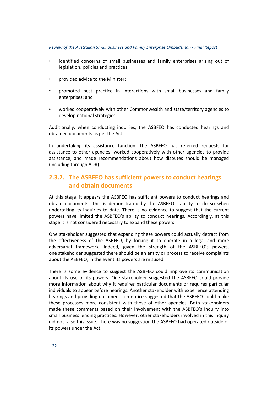- identified concerns of small businesses and family enterprises arising out of legislation, policies and practices;
- provided advice to the Minister;
- promoted best practice in interactions with small businesses and family enterprises; and
- worked cooperatively with other Commonwealth and state/territory agencies to develop national strategies.

Additionally, when conducting inquiries, the ASBFEO has conducted hearings and obtained documents as per the Act.

In undertaking its assistance function, the ASBFEO has referred requests for assistance to other agencies, worked cooperatively with other agencies to provide assistance, and made recommendations about how disputes should be managed (including through ADR).

# **2.3.2. The ASBFEO has sufficient powers to conduct hearings and obtain documents**

At this stage, it appears the ASBFEO has sufficient powers to conduct hearings and obtain documents. This is demonstrated by the ASBFEO's ability to do so when undertaking its inquiries to date. There is no evidence to suggest that the current powers have limited the ASBFEO's ability to conduct hearings. Accordingly, at this stage it is not considered necessary to expand these powers.

One stakeholder suggested that expanding these powers could actually detract from the effectiveness of the ASBFEO, by forcing it to operate in a legal and more adversarial framework. Indeed, given the strength of the ASBFEO's powers, one stakeholder suggested there should be an entity or process to receive complaints about the ASBFEO, in the event its powers are misused.

There is some evidence to suggest the ASBFEO could improve its communication about its use of its powers. One stakeholder suggested the ASBFEO could provide more information about why it requires particular documents or requires particular individuals to appear before hearings. Another stakeholder with experience attending hearings and providing documents on notice suggested that the ASBFEO could make these processes more consistent with those of other agencies. Both stakeholders made these comments based on their involvement with the ASBFEO's inquiry into small business lending practices. However, other stakeholders involved in this inquiry did not raise this issue. There was no suggestion the ASBFEO had operated outside of its powers under the Act.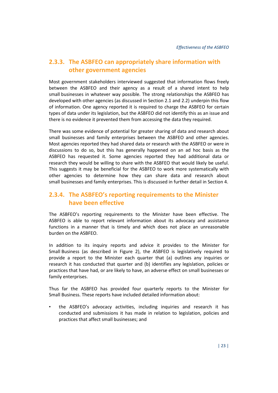# **2.3.3. The ASBFEO can appropriately share information with other government agencies**

Most government stakeholders interviewed suggested that information flows freely between the ASBFEO and their agency as a result of a shared intent to help small businesses in whatever way possible. The strong relationships the ASBFEO has developed with other agencies (as discussed in Section [2.1](#page-16-1) and [2.2\)](#page-24-0) underpin this flow of information. One agency reported it is required to charge the ASBFEO for certain types of data under its legislation, but the ASBFEO did not identify this as an issue and there is no evidence it prevented them from accessing the data they required.

There was some evidence of potential for greater sharing of data and research about small businesses and family enterprises between the ASBFEO and other agencies. Most agencies reported they had shared data or research with the ASBFEO or were in discussions to do so, but this has generally happened on an ad hoc basis as the ASBFEO has requested it. Some agencies reported they had additional data or research they would be willing to share with the ASBFEO that would likely be useful. This suggests it may be beneficial for the ASBFEO to work more systematically with other agencies to determine how they can share data and research about small businesses and family enterprises. This is discussed in further detail in Section [4.](#page-42-0)

## **2.3.4. The ASBFEO's reporting requirements to the Minister have been effective**

The ASBFEO's reporting requirements to the Minister have been effective. The ASBFEO is able to report relevant information about its advocacy and assistance functions in a manner that is timely and which does not place an unreasonable burden on the ASBFEO.

In addition to its inquiry reports and advice it provides to the Minister for Small Business (as described in [Figure 2\)](#page-14-0), the ASBFEO is legislatively required to provide a report to the Minister each quarter that (a) outlines any inquiries or research it has conducted that quarter and (b) identifies any legislation, policies or practices that have had, or are likely to have, an adverse effect on small businesses or family enterprises.

Thus far the ASBFEO has provided four quarterly reports to the Minister for Small Business. These reports have included detailed information about:

• the ASBFEO's advocacy activities, including inquiries and research it has conducted and submissions it has made in relation to legislation, policies and practices that affect small businesses; and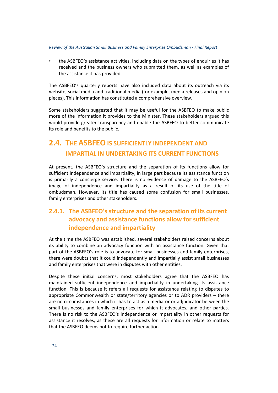• the ASBFEO's assistance activities, including data on the types of enquiries it has received and the business owners who submitted them, as well as examples of the assistance it has provided.

The ASBFEO's quarterly reports have also included data about its outreach via its website, social media and traditional media (for example, media releases and opinion pieces). This information has constituted a comprehensive overview.

Some stakeholders suggested that it may be useful for the ASBFEO to make public more of the information it provides to the Minister. These stakeholders argued this would provide greater transparency and enable the ASBFEO to better communicate its role and benefits to the public.

# <span id="page-33-0"></span>**2.4. THE ASBFEO IS SUFFICIENTLY INDEPENDENT AND IMPARTIAL IN UNDERTAKING ITS CURRENT FUNCTIONS**

At present, the ASBFEO's structure and the separation of its functions allow for sufficient independence and impartiality, in large part because its assistance function is primarily a concierge service. There is no evidence of damage to the ASBFEO's image of independence and impartiality as a result of its use of the title of ombudsman. However, its title has caused some confusion for small businesses, family enterprises and other stakeholders.

# **2.4.1. The ASBFEO's structure and the separation of its current advocacy and assistance functions allow for sufficient independence and impartiality**

At the time the ASBFEO was established, several stakeholders raised concerns about its ability to combine an advocacy function with an assistance function. Given that part of the ASBFEO's role is to advocate for small businesses and family enterprises, there were doubts that it could independently and impartially assist small businesses and family enterprises that were in disputes with other entities.

Despite these initial concerns, most stakeholders agree that the ASBFEO has maintained sufficient independence and impartiality in undertaking its assistance function. This is because it refers all requests for assistance relating to disputes to appropriate Commonwealth or state/territory agencies or to ADR providers – there are no circumstances in which it has to act as a mediator or adjudicator between the small businesses and family enterprises for which it advocates, and other parties. There is no risk to the ASBFEO's independence or impartiality in other requests for assistance it resolves, as these are all requests for information or relate to matters that the ASBFEO deems not to require further action.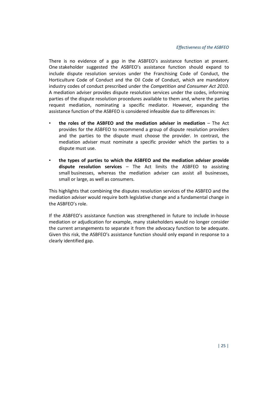There is no evidence of a gap in the ASBFEO's assistance function at present. One stakeholder suggested the ASBFEO's assistance function should expand to include dispute resolution services under the Franchising Code of Conduct, the Horticulture Code of Conduct and the Oil Code of Conduct, which are mandatory industry codes of conduct prescribed under the *Competition and Consumer Act 2010*. A mediation adviser provides dispute resolution services under the codes, informing parties of the dispute resolution procedures available to them and, where the parties request mediation, nominating a specific mediator. However, expanding the assistance function of the ASBFEO is considered infeasible due to differences in:

- **the roles of the ASBFEO and the mediation adviser in mediation** The Act provides for the ASBFEO to recommend a group of dispute resolution providers and the parties to the dispute must choose the provider. In contrast, the mediation adviser must nominate a specific provider which the parties to a dispute must use.
- **the types of parties to which the ASBFEO and the mediation adviser provide dispute resolution services** – The Act limits the ASBFEO to assisting small businesses, whereas the mediation adviser can assist all businesses, small or large, as well as consumers.

This highlights that combining the disputes resolution services of the ASBFEO and the mediation adviser would require both legislative change and a fundamental change in the ASBFEO's role.

If the ASBFEO's assistance function was strengthened in future to include in-house mediation or adjudication for example, many stakeholders would no longer consider the current arrangements to separate it from the advocacy function to be adequate. Given this risk, the ASBFEO's assistance function should only expand in response to a clearly identified gap.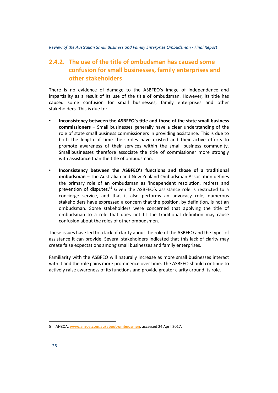# **2.4.2. The use of the title of ombudsman has caused some confusion for small businesses, family enterprises and other stakeholders**

There is no evidence of damage to the ASBFEO's image of independence and impartiality as a result of its use of the title of ombudsman. However, its title has caused some confusion for small businesses, family enterprises and other stakeholders. This is due to:

- **Inconsistency between the ASBFEO's title and those of the state small business commissioners** – Small businesses generally have a clear understanding of the role of state small business commissioners in providing assistance. This is due to both the length of time their roles have existed and their active efforts to promote awareness of their services within the small business community. Small businesses therefore associate the title of commissioner more strongly with assistance than the title of ombudsman.
- **Inconsistency between the ASBFEO's functions and those of a traditional ombudsman** – The Australian and New Zealand Ombudsman Association defines the primary role of an ombudsman as 'independent resolution, redress and prevention of disputes.<sup>'[5](#page-35-0)</sup> Given the ASBFEO's assistance role is restricted to a concierge service, and that it also performs an advocacy role, numerous stakeholders have expressed a concern that the position, by definition, is not an ombudsman. Some stakeholders were concerned that applying the title of ombudsman to a role that does not fit the traditional definition may cause confusion about the roles of other ombudsmen.

These issues have led to a lack of clarity about the role of the ASBFEO and the types of assistance it can provide. Several stakeholders indicated that this lack of clarity may create false expectations among small businesses and family enterprises.

Familiarity with the ASBFEO will naturally increase as more small businesses interact with it and the role gains more prominence over time. The ASBFEO should continue to actively raise awareness of its functions and provide greater clarity around its role.

 $\overline{a}$ 

<span id="page-35-0"></span><sup>5</sup> ANZOA, **[www.anzoa.com.au/about-ombudsmen](http://www.anzoa.com.au/about-ombudsmen)**, accessed 24 April 2017.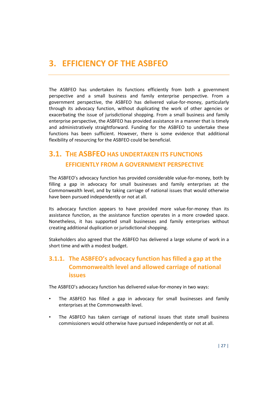# <span id="page-36-0"></span>**3. EFFICIENCY OF THE ASBFEO**

The ASBFEO has undertaken its functions efficiently from both a government perspective and a small business and family enterprise perspective. From a government perspective, the ASBFEO has delivered value-for-money, particularly through its advocacy function, without duplicating the work of other agencies or exacerbating the issue of jurisdictional shopping. From a small business and family enterprise perspective, the ASBFEO has provided assistance in a manner that is timely and administratively straightforward. Funding for the ASBFEO to undertake these functions has been sufficient. However, there is some evidence that additional flexibility of resourcing for the ASBFEO could be beneficial.

# <span id="page-36-1"></span>**3.1. THE ASBFEO HAS UNDERTAKEN ITS FUNCTIONS EFFICIENTLY FROM A GOVERNMENT PERSPECTIVE**

The ASBFEO's advocacy function has provided considerable value-for-money, both by filling a gap in advocacy for small businesses and family enterprises at the Commonwealth level, and by taking carriage of national issues that would otherwise have been pursued independently or not at all.

Its advocacy function appears to have provided more value-for-money than its assistance function, as the assistance function operates in a more crowded space. Nonetheless, it has supported small businesses and family enterprises without creating additional duplication or jurisdictional shopping.

Stakeholders also agreed that the ASBFEO has delivered a large volume of work in a short time and with a modest budget.

# **3.1.1. The ASBFEO's advocacy function has filled a gap at the Commonwealth level and allowed carriage of national issues**

The ASBFEO's advocacy function has delivered value-for-money in two ways:

- The ASBFEO has filled a gap in advocacy for small businesses and family enterprises at the Commonwealth level.
- The ASBFEO has taken carriage of national issues that state small business commissioners would otherwise have pursued independently or not at all.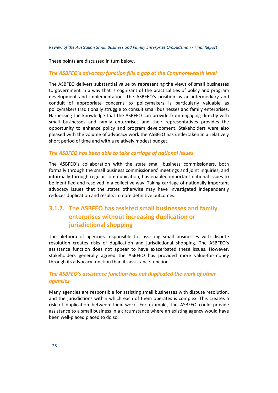These points are discussed in turn below.

#### *The ASBFEO's advocacy function fills a gap at the Commonwealth level*

The ASBFEO delivers substantial value by representing the views of small businesses to government in a way that is cognizant of the practicalities of policy and program development and implementation. The ASBFEO's position as an intermediary and conduit of appropriate concerns to policymakers is particularly valuable as policymakers traditionally struggle to consult small businesses and family enterprises. Harnessing the knowledge that the ASBFEO can provide from engaging directly with small businesses and family enterprises and their representatives provides the opportunity to enhance policy and program development. Stakeholders were also pleased with the volume of advocacy work the ASBFEO has undertaken in a relatively short period of time and with a relatively modest budget.

#### *The ASBFEO has been able to take carriage of national issues*

The ASBFEO's collaboration with the state small business commissioners, both formally through the small business commissioners' meetings and joint inquiries, and informally through regular communication, has enabled important national issues to be identified and resolved in a collective way. Taking carriage of nationally important advocacy issues that the states otherwise may have investigated independently reduces duplication and results in more definitive outcomes.

## **3.1.2. The ASBFEO has assisted small businesses and family enterprises without increasing duplication or jurisdictional shopping**

The plethora of agencies responsible for assisting small businesses with dispute resolution creates risks of duplication and jurisdictional shopping. The ASBFEO's assistance function does not appear to have exacerbated these issues. However, stakeholders generally agreed the ASBFEO has provided more value-for-money through its advocacy function than its assistance function.

## *The ASBFEO's assistance function has not duplicated the work of other agencies*

Many agencies are responsible for assisting small businesses with dispute resolution, and the jurisdictions within which each of them operates is complex. This creates a risk of duplication between their work. For example, the ASBFEO could provide assistance to a small business in a circumstance where an existing agency would have been well-placed placed to do so.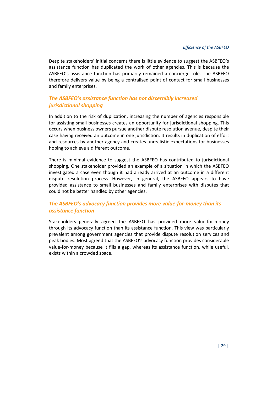Despite stakeholders' initial concerns there is little evidence to suggest the ASBFEO's assistance function has duplicated the work of other agencies. This is because the ASBFEO's assistance function has primarily remained a concierge role. The ASBFEO therefore delivers value by being a centralised point of contact for small businesses and family enterprises.

## *The ASBFEO's assistance function has not discernibly increased jurisdictional shopping*

In addition to the risk of duplication, increasing the number of agencies responsible for assisting small businesses creates an opportunity for jurisdictional shopping. This occurs when business owners pursue another dispute resolution avenue, despite their case having received an outcome in one jurisdiction. It results in duplication of effort and resources by another agency and creates unrealistic expectations for businesses hoping to achieve a different outcome.

There is minimal evidence to suggest the ASBFEO has contributed to jurisdictional shopping. One stakeholder provided an example of a situation in which the ASBFEO investigated a case even though it had already arrived at an outcome in a different dispute resolution process. However, in general, the ASBFEO appears to have provided assistance to small businesses and family enterprises with disputes that could not be better handled by other agencies.

## *The ASBFEO's advocacy function provides more value-for-money than its assistance function*

Stakeholders generally agreed the ASBFEO has provided more value-for-money through its advocacy function than its assistance function. This view was particularly prevalent among government agencies that provide dispute resolution services and peak bodies. Most agreed that the ASBFEO's advocacy function provides considerable value-for-money because it fills a gap, whereas its assistance function, while useful, exists within a crowded space.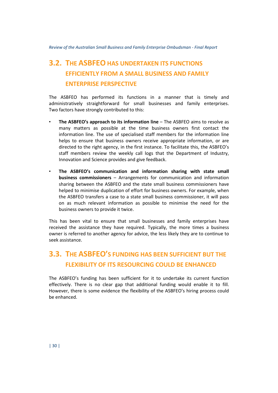# <span id="page-39-0"></span>**3.2. THE ASBFEO HAS UNDERTAKEN ITS FUNCTIONS EFFICIENTLY FROM A SMALL BUSINESS AND FAMILY ENTERPRISE PERSPECTIVE**

The ASBFEO has performed its functions in a manner that is timely and administratively straightforward for small businesses and family enterprises. Two factors have strongly contributed to this:

- **The ASBFEO's approach to its information line** The ASBFEO aims to resolve as many matters as possible at the time business owners first contact the information line. The use of specialised staff members for the information line helps to ensure that business owners receive appropriate information, or are directed to the right agency, in the first instance. To facilitate this, the ASBFEO's staff members review the weekly call logs that the Department of Industry, Innovation and Science provides and give feedback.
- **The ASBFEO's communication and information sharing with state small business commissioners** – Arrangements for communication and information sharing between the ASBFEO and the state small business commissioners have helped to minimise duplication of effort for business owners. For example, when the ASBFEO transfers a case to a state small business commissioner, it will pass on as much relevant information as possible to minimise the need for the business owners to provide it twice.

This has been vital to ensure that small businesses and family enterprises have received the assistance they have required. Typically, the more times a business owner is referred to another agency for advice, the less likely they are to continue to seek assistance.

# <span id="page-39-1"></span>**3.3. THE ASBFEO'S FUNDING HAS BEEN SUFFICIENT BUT THE FLEXIBILITY OF ITS RESOURCING COULD BE ENHANCED**

The ASBFEO's funding has been sufficient for it to undertake its current function effectively. There is no clear gap that additional funding would enable it to fill. However, there is some evidence the flexibility of the ASBFEO's hiring process could be enhanced.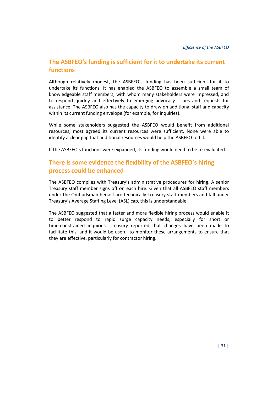# **The ASBFEO's funding is sufficient for it to undertake its current functions**

Although relatively modest, the ASBFEO's funding has been sufficient for it to undertake its functions. It has enabled the ASBFEO to assemble a small team of knowledgeable staff members, with whom many stakeholders were impressed, and to respond quickly and effectively to emerging advocacy issues and requests for assistance. The ASBFEO also has the capacity to draw on additional staff and capacity within its current funding envelope (for example, for inquiries).

While some stakeholders suggested the ASBFEO would benefit from additional resources, most agreed its current resources were sufficient. None were able to identify a clear gap that additional resources would help the ASBFEO to fill.

If the ASBFEO's functions were expanded, its funding would need to be re-evaluated.

# **There is some evidence the flexibility of the ASBFEO's hiring process could be enhanced**

The ASBFEO complies with Treasury's administrative procedures for hiring. A senior Treasury staff member signs off on each hire. Given that all ASBFEO staff members under the Ombudsman herself are technically Treasury staff members and fall under Treasury's Average Staffing Level (ASL) cap, this is understandable.

The ASBFEO suggested that a faster and more flexible hiring process would enable it to better respond to rapid surge capacity needs, especially for short or time-constrained inquiries. Treasury reported that changes have been made to facilitate this, and it would be useful to monitor these arrangements to ensure that they are effective, particularly for contractor hiring.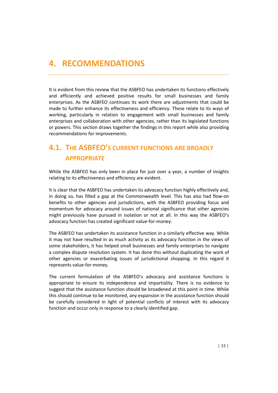# <span id="page-42-0"></span>**4. RECOMMENDATIONS**

It is evident from this review that the ASBFEO has undertaken its functions effectively and efficiently and achieved positive results for small businesses and family enterprises. As the ASBFEO continues its work there are adjustments that could be made to further enhance its effectiveness and efficiency. These relate to its ways of working, particularly in relation to engagement with small businesses and family enterprises and collaboration with other agencies, rather than its legislated functions or powers. This section draws together the findings in this report while also providing recommendations for improvements.

# <span id="page-42-1"></span>**4.1. THE ASBFEO'S CURRENT FUNCTIONS ARE BROADLY APPROPRIATE**

While the ASBFEO has only been in place for just over a year, a number of insights relating to its effectiveness and efficiency are evident.

It is clear that the ASBFEO has undertaken its advocacy function highly effectively and, in doing so, has filled a gap at the Commonwealth level. This has also had flow-on benefits to other agencies and jurisdictions, with the ASBFEO providing focus and momentum for advocacy around issues of national significance that other agencies might previously have pursued in isolation or not at all. In this way the ASBFEO's advocacy function has created significant value-for-money.

The ASBFEO has undertaken its assistance function in a similarly effective way. While it may not have resulted in as much activity as its advocacy function in the views of some stakeholders, it has helped small businesses and family enterprises to navigate a complex dispute resolution system. It has done this without duplicating the work of other agencies or exacerbating issues of jurisdictional shopping. In this regard it represents value-for-money.

The current formulation of the ASBFEO's advocacy and assistance functions is appropriate to ensure its independence and impartiality. There is no evidence to suggest that the assistance function should be broadened at this point in time. While this should continue to be monitored, any expansion in the assistance function should be carefully considered in light of potential conflicts of interest with its advocacy function and occur only in response to a clearly identified gap.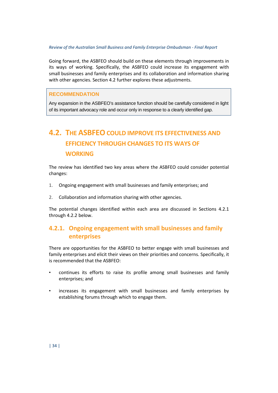Going forward, the ASBFEO should build on these elements through improvements in its ways of working. Specifically, the ASBFEO could increase its engagement with small businesses and family enterprises and its collaboration and information sharing with other agencies. Sectio[n 4.2](#page-43-0) further explores these adjustments.

### **RECOMMENDATION**

Any expansion in the ASBFEO's assistance function should be carefully considered in light of its important advocacy role and occur only in response to a clearly identified gap.

# <span id="page-43-0"></span>**4.2. THE ASBFEO COULD IMPROVE ITS EFFECTIVENESS AND EFFICIENCY THROUGH CHANGES TO ITS WAYS OF WORKING**

The review has identified two key areas where the ASBFEO could consider potential changes:

- 1. Ongoing engagement with small businesses and family enterprises; and
- 2. Collaboration and information sharing with other agencies.

The potential changes identified within each area are discussed in Sections [4.2.1](#page-43-1) through [4.2.2](#page-44-0) below.

## <span id="page-43-1"></span>**4.2.1. Ongoing engagement with small businesses and family enterprises**

There are opportunities for the ASBFEO to better engage with small businesses and family enterprises and elicit their views on their priorities and concerns. Specifically, it is recommended that the ASBFEO:

- continues its efforts to raise its profile among small businesses and family enterprises; and
- increases its engagement with small businesses and family enterprises by establishing forums through which to engage them.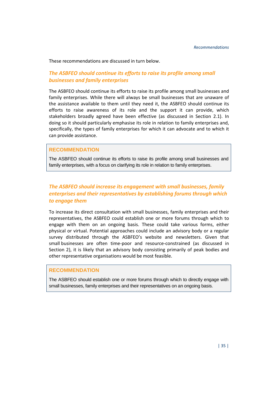These recommendations are discussed in turn below.

## *The ASBFEO should continue its efforts to raise its profile among small businesses and family enterprises*

The ASBFEO should continue its efforts to raise its profile among small businesses and family enterprises. While there will always be small businesses that are unaware of the assistance available to them until they need it, the ASBFEO should continue its efforts to raise awareness of its role and the support it can provide, which stakeholders broadly agreed have been effective (as discussed in Section [2.1\)](#page-16-1). In doing so it should particularly emphasise its role in relation to family enterprises and, specifically, the types of family enterprises for which it can advocate and to which it can provide assistance.

#### **RECOMMENDATION**

The ASBFEO should continue its efforts to raise its profile among small businesses and family enterprises, with a focus on clarifying its role in relation to family enterprises.

## *The ASBFEO should increase its engagement with small businesses, family enterprises and their representatives by establishing forums through which to engage them*

To increase its direct consultation with small businesses, family enterprises and their representatives, the ASBFEO could establish one or more forums through which to engage with them on an ongoing basis. These could take various forms, either physical or virtual. Potential approaches could include an advisory body or a regular survey distributed through the ASBFEO's website and newsletters. Given that small businesses are often time-poor and resource-constrained (as discussed in Section [2\)](#page-16-0), it is likely that an advisory body consisting primarily of peak bodies and other representative organisations would be most feasible.

### **RECOMMENDATION**

<span id="page-44-0"></span>The ASBFEO should establish one or more forums through which to directly engage with small businesses, family enterprises and their representatives on an ongoing basis.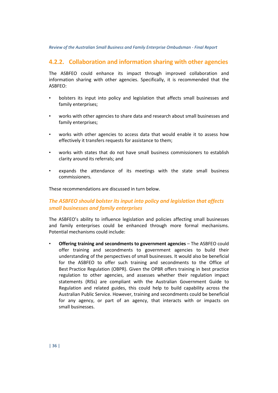## **4.2.2. Collaboration and information sharing with other agencies**

The ASBFEO could enhance its impact through improved collaboration and information sharing with other agencies. Specifically, it is recommended that the ASBFEO:

- bolsters its input into policy and legislation that affects small businesses and family enterprises;
- works with other agencies to share data and research about small businesses and family enterprises;
- works with other agencies to access data that would enable it to assess how effectively it transfers requests for assistance to them;
- works with states that do not have small business commissioners to establish clarity around its referrals; and
- expands the attendance of its meetings with the state small business commissioners.

These recommendations are discussed in turn below.

## *The ASBFEO should bolster its input into policy and legislation that affects small businesses and family enterprises*

The ASBFEO's ability to influence legislation and policies affecting small businesses and family enterprises could be enhanced through more formal mechanisms. Potential mechanisms could include:

• **Offering training and secondments to government agencies** – The ASBFEO could offer training and secondments to government agencies to build their understanding of the perspectives of small businesses. It would also be beneficial for the ASBFEO to offer such training and secondments to the Office of Best Practice Regulation (OBPR). Given the OPBR offers training in best practice regulation to other agencies, and assesses whether their regulation impact statements (RISs) are compliant with the Australian Government Guide to Regulation and related guides, this could help to build capability across the Australian Public Service. However, training and secondments could be beneficial for any agency, or part of an agency, that interacts with or impacts on small businesses.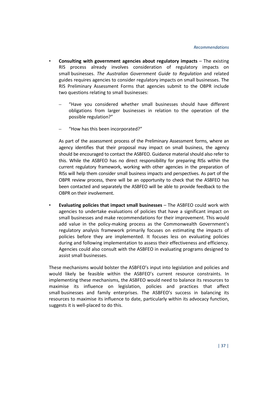- **Consulting with government agencies about regulatory impacts** The existing RIS process already involves consideration of regulatory impacts on small businesses. *The Australian Government Guide to Regulation* and related guides requires agencies to consider regulatory impacts on small businesses. The RIS Preliminary Assessment Forms that agencies submit to the OBPR include two questions relating to small businesses:
	- "Have you considered whether small businesses should have different obligations from larger businesses in relation to the operation of the possible regulation?"
	- "How has this been incorporated?"

As part of the assessment process of the Preliminary Assessment forms, where an agency identifies that their proposal may impact on small business, the agency should be encouraged to contact the ASBFEO. Guidance material should also refer to this. While the ASBFEO has no direct responsibility for preparing RISs within the current regulatory framework, working with other agencies in the preparation of RISs will help them consider small business impacts and perspectives. As part of the OBPR review process, there will be an opportunity to check that the ASBFEO has been contacted and separately the ASBFEO will be able to provide feedback to the OBPR on their involvement.

• **Evaluating policies that impact small businesses** – The ASBFEO could work with agencies to undertake evaluations of policies that have a significant impact on small businesses and make recommendations for their improvement. This would add value in the policy-making process as the Commonwealth Government's regulatory analysis framework primarily focuses on estimating the impacts of policies before they are implemented. It focuses less on evaluating policies during and following implementation to assess their effectiveness and efficiency. Agencies could also consult with the ASBFEO in evaluating programs designed to assist small businesses.

These mechanisms would bolster the ASBFEO's input into legislation and policies and would likely be feasible within the ASBFEO's current resource constraints. In implementing these mechanisms, the ASBFEO would need to balance its resources to maximise its influence on legislation, policies and practices that affect small businesses and family enterprises. The ASBFEO's success in balancing its resources to maximise its influence to date, particularly within its advocacy function, suggests it is well-placed to do this.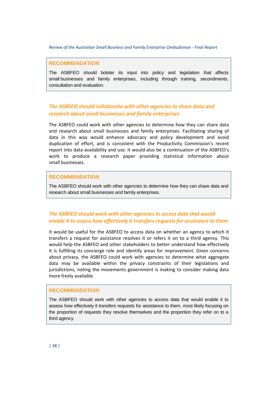#### **RECOMMENDATION**

The ASBFEO should bolster its input into policy and legislation that affects small businesses and family enterprises, including through training, secondments, consultation and evaluation.

### *The ASBFEO should collaborate with other agencies to share data and research about small businesses and family enterprises*

The ASBFEO could work with other agencies to determine how they can share data and research about small businesses and family enterprises. Facilitating sharing of data in this way would enhance advocacy and policy development and avoid duplication of effort, and is consistent with the Productivity Commission's recent report into data availability and use. It would also be a continuation of the ASBFEO's work to produce a research paper providing statistical information about small businesses.

#### **RECOMMENDATION**

The ASBFEO should work with other agencies to determine how they can share data and research about small businesses and family enterprises.

### *The ASBFEO should work with other agencies to access data that would enable it to assess how effectively it transfers requests for assistance to them*

It would be useful for the ASBFEO to access data on whether an agency to which it transfers a request for assistance resolves it or refers it on to a third agency. This would help the ASBFEO and other stakeholders to better understand how effectively it is fulfilling its concierge role and identify areas for improvement. Given concerns about privacy, the ASBFEO could work with agencies to determine what aggregate data may be available within the privacy constraints of their legislations and jurisdictions, noting the movements government is making to consider making data more freely available.

#### **RECOMMENDATION**

The ASBFEO should work with other agencies to access data that would enable it to assess how effectively it transfers requests for assistance to them, most likely focusing on the proportion of requests they resolve themselves and the proportion they refer on to a third agency.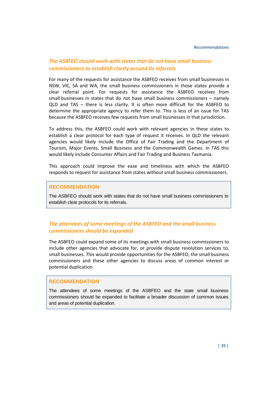### *The ASBFEO should work with states that do not have small business commissioners to establish clarity around its referrals*

For many of the requests for assistance the ASBFEO receives from small businesses in NSW, VIC, SA and WA, the small business commissioners in those states provide a clear referral point. For requests for assistance the ASBFEO receives from small businesses in states that do not have small business commissioners – namely QLD and TAS – there is less clarity. It is often more difficult for the ASBFEO to determine the appropriate agency to refer them to. This is less of an issue for TAS because the ASBFEO receives few requests from small businesses in that jurisdiction.

To address this, the ASBFEO could work with relevant agencies in these states to establish a clear protocol for each type of request it receives. In QLD the relevant agencies would likely include the Office of Fair Trading and the Department of Tourism, Major Events, Small Business and the Commonwealth Games. In TAS this would likely include Consumer Affairs and Fair Trading and Business Tasmania.

This approach could improve the ease and timeliness with which the ASBFEO responds to request for assistance from states without small business commissioners.

#### **RECOMMENDATION**

The ASBFEO should work with states that do not have small business commissioners to establish clear protocols for its referrals.

### *The attendees of some meetings of the ASBFEO and the small business commissioners should be expanded*

The ASBFEO could expand some of its meetings with small business commissioners to include other agencies that advocate for, or provide dispute resolution services to, small businesses. This would provide opportunities for the ASBFEO, the small business commissioners and these other agencies to discuss areas of common interest or potential duplication.

### **RECOMMENDATION**

The attendees of some meetings of the ASBFEO and the state small business commissioners should be expanded to facilitate a broader discussion of common issues and areas of potential duplication.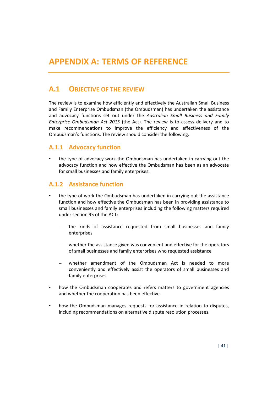## <span id="page-50-1"></span><span id="page-50-0"></span>**A.1 OBJECTIVE OF THE REVIEW**

The review is to examine how efficiently and effectively the Australian Small Business and Family Enterprise Ombudsman (the Ombudsman) has undertaken the assistance and advocacy functions set out under the *Australian Small Business and Family Enterprise Ombudsman Act 2015* (the Act)*.* The review is to assess delivery and to make recommendations to improve the efficiency and effectiveness of the Ombudsman's functions. The review should consider the following.

## **A.1.1 Advocacy function**

• the type of advocacy work the Ombudsman has undertaken in carrying out the advocacy function and how effective the Ombudsman has been as an advocate for small businesses and family enterprises.

## **A.1.2 Assistance function**

- the type of work the Ombudsman has undertaken in carrying out the assistance function and how effective the Ombudsman has been in providing assistance to small businesses and family enterprises including the following matters required under section 95 of the ACT:
	- the kinds of assistance requested from small businesses and family enterprises
	- whether the assistance given was convenient and effective for the operators of small businesses and family enterprises who requested assistance
	- whether amendment of the Ombudsman Act is needed to more conveniently and effectively assist the operators of small businesses and family enterprises
- how the Ombudsman cooperates and refers matters to government agencies and whether the cooperation has been effective.
- how the Ombudsman manages requests for assistance in relation to disputes, including recommendations on alternative dispute resolution processes.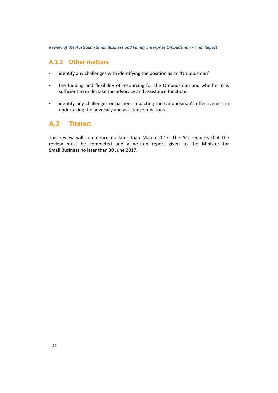## **A.1.3 Other matters**

- identify any challenges with identifying the position as an 'Ombudsman'
- the funding and flexibility of resourcing for the Ombudsman and whether it is sufficient to undertake the advocacy and assistance functions
- identify any challenges or barriers impacting the Ombudsman's effectiveness in undertaking the advocacy and assistance functions

# <span id="page-51-0"></span>**A.2 TIMING**

This review will commence no later than March 2017. The Act requires that the review must be completed and a written report given to the Minister for Small Business no later than 30 June 2017.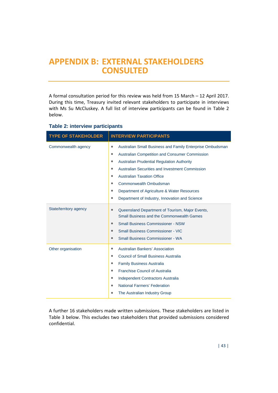# <span id="page-52-0"></span>**APPENDIX B: EXTERNAL STAKEHOLDERS CONSULTED**

A formal consultation period for this review was held from 15 March – 12 April 2017. During this time, Treasury invited relevant stakeholders to participate in interviews with Ms Su McCluskey. A full list of interview participants can be found in [Table 2](#page-52-1) below.

| <b>TYPE OF STAKEHOLDER</b> | <b>INTERVIEW PARTICIPANTS</b>                                                                                                                                                                                                                                                                                                                                                    |
|----------------------------|----------------------------------------------------------------------------------------------------------------------------------------------------------------------------------------------------------------------------------------------------------------------------------------------------------------------------------------------------------------------------------|
| Commonwealth agency        | Australian Small Business and Family Enterprise Ombudsman<br>$\bullet$<br><b>Australian Competition and Consumer Commission</b><br>$\bullet$<br>$\bullet$<br><b>Australian Prudential Regulation Authority</b><br>Australian Securities and Investment Commission<br>$\bullet$                                                                                                   |
|                            | <b>Australian Taxation Office</b><br>$\bullet$<br>Commonwealth Ombudsman<br>$\bullet$<br>Department of Agriculture & Water Resources<br>$\bullet$<br>Department of Industry, Innovation and Science<br>$\bullet$                                                                                                                                                                 |
| State/territory agency     | Queensland Department of Tourism, Major Events,<br>$\bullet$<br>Small Business and the Commonwealth Games<br><b>Small Business Commissioner - NSW</b><br>$\bullet$<br><b>Small Business Commissioner - VIC</b><br>$\bullet$<br><b>Small Business Commissioner - WA</b><br>$\bullet$                                                                                              |
| Other organisation         | <b>Australian Bankers' Association</b><br>$\bullet$<br><b>Council of Small Business Australia</b><br>$\bullet$<br><b>Family Business Australia</b><br>$\bullet$<br><b>Franchise Council of Australia</b><br>$\bullet$<br><b>Independent Contractors Australia</b><br>$\bullet$<br><b>National Farmers' Federation</b><br>$\bullet$<br>The Australian Industry Group<br>$\bullet$ |

#### <span id="page-52-1"></span>**Table 2: interview participants**

A further 16 stakeholders made written submissions. These stakeholders are listed in [Table 3](#page-53-0) below. This excludes two stakeholders that provided submissions considered confidential.